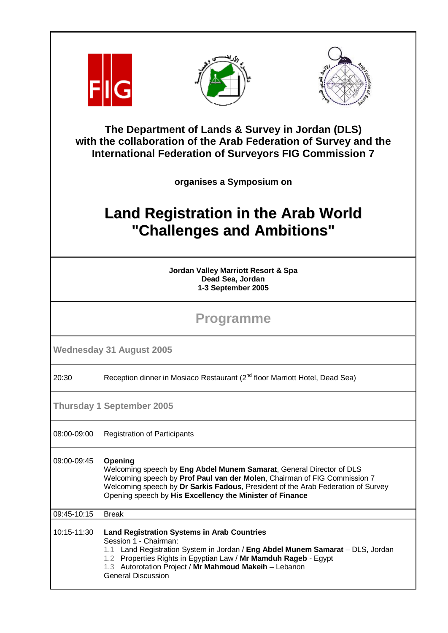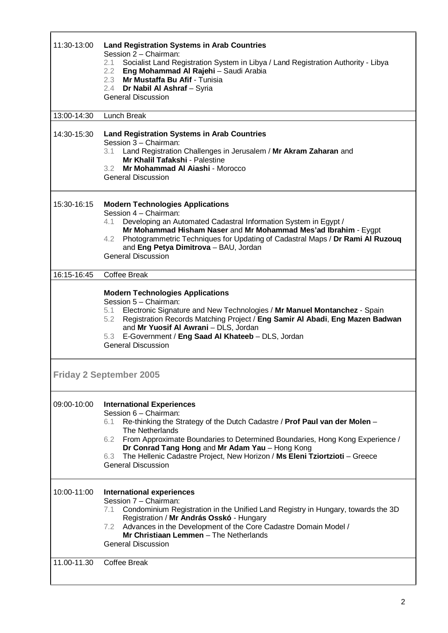| 11:30-13:00                    | <b>Land Registration Systems in Arab Countries</b><br>Session 2 - Chairman:<br>Socialist Land Registration System in Libya / Land Registration Authority - Libya<br>2.1<br>2.2 Eng Mohammad Al Rajehi - Saudi Arabia<br>2.3 Mr Mustaffa Bu Afif - Tunisia<br>2.4 Dr Nabil Al Ashraf - Syria<br><b>General Discussion</b>                                                                                                   |  |
|--------------------------------|----------------------------------------------------------------------------------------------------------------------------------------------------------------------------------------------------------------------------------------------------------------------------------------------------------------------------------------------------------------------------------------------------------------------------|--|
| 13:00-14:30                    | Lunch Break                                                                                                                                                                                                                                                                                                                                                                                                                |  |
| 14:30-15:30                    | <b>Land Registration Systems in Arab Countries</b><br>Session 3 - Chairman:<br>3.1 Land Registration Challenges in Jerusalem / Mr Akram Zaharan and<br><b>Mr Khalil Tafakshi - Palestine</b><br>3.2 Mr Mohammad Al Aiashi - Morocco<br><b>General Discussion</b>                                                                                                                                                           |  |
| 15:30-16:15                    | <b>Modern Technologies Applications</b><br>Session 4 - Chairman:<br>Developing an Automated Cadastral Information System in Egypt /<br>4.1<br>Mr Mohammad Hisham Naser and Mr Mohammad Mes'ad Ibrahim - Eygpt<br>Photogrammetric Techniques for Updating of Cadastral Maps / Dr Rami Al Ruzouq<br>4.2<br>and Eng Petya Dimitrova - BAU, Jordan<br><b>General Discussion</b>                                                |  |
| $16:15 - 16:45$                | Coffee Break                                                                                                                                                                                                                                                                                                                                                                                                               |  |
|                                | <b>Modern Technologies Applications</b><br>Session 5 - Chairman:<br>5.1 Electronic Signature and New Technologies / Mr Manuel Montanchez - Spain<br>5.2 Registration Records Matching Project / Eng Samir Al Abadi, Eng Mazen Badwan<br>and Mr Yuosif Al Awrani - DLS, Jordan<br>5.3 E-Government / Eng Saad Al Khateeb - DLS, Jordan<br><b>General Discussion</b>                                                         |  |
| <b>Friday 2 September 2005</b> |                                                                                                                                                                                                                                                                                                                                                                                                                            |  |
| 09:00-10:00                    | <b>International Experiences</b><br>Session 6 - Chairman:<br>Re-thinking the Strategy of the Dutch Cadastre / Prof Paul van der Molen -<br>6.1<br>The Netherlands<br>6.2 From Approximate Boundaries to Determined Boundaries, Hong Kong Experience /<br>Dr Conrad Tang Hong and Mr Adam Yau - Hong Kong<br>The Hellenic Cadastre Project, New Horizon / Ms Eleni Tziortzioti - Greece<br>6.3<br><b>General Discussion</b> |  |
| 10:00-11:00                    | <b>International experiences</b><br>Session 7 - Chairman:<br>Condominium Registration in the Unified Land Registry in Hungary, towards the 3D<br>7.1<br>Registration / Mr András Osskó - Hungary<br>7.2 Advances in the Development of the Core Cadastre Domain Model /<br>Mr Christiaan Lemmen - The Netherlands<br><b>General Discussion</b>                                                                             |  |
| 11.00-11.30                    | Coffee Break                                                                                                                                                                                                                                                                                                                                                                                                               |  |